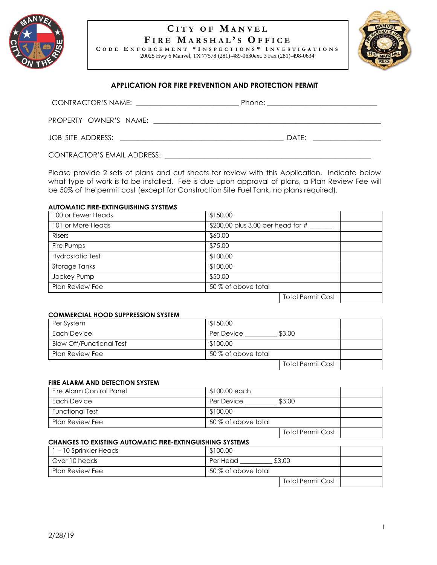

# **C I T Y O F M A N V E L F I R E M A R S H A L ' S O F F I C E**

**C O D E E N F O R C E M E N T \* I N S P E C T I O N S \* I N V E S T I G A T I O N S** 20025 Hwy 6 Manvel, TX 77578 (281)-489-0630ext. 3 Fax (281)-498-0634



## **APPLICATION FOR FIRE PREVENTION AND PROTECTION PERMIT**

| PROPERTY OWNER'S NAME:                                        |       |
|---------------------------------------------------------------|-------|
| JOB SITE ADDRESS:<br><u> 1980 - Jan Barbara Barat, manala</u> | DATF: |
| CONTRACTOR'S EMAIL ADDRESS:                                   |       |

Please provide 2 sets of plans and cut sheets for review with this Application. Indicate below what type of work is to be installed. Fee is due upon approval of plans, a Plan Review Fee will be 50% of the permit cost (except for Construction Site Fuel Tank, no plans required).

#### **AUTOMATIC FIRE-EXTINGUISHING SYSTEMS**

| 100 or Fewer Heads      | \$150.00                          |  |  |
|-------------------------|-----------------------------------|--|--|
| 101 or More Heads       | \$200.00 plus 3.00 per head for # |  |  |
| <b>Risers</b>           | \$60.00                           |  |  |
| Fire Pumps              | \$75.00                           |  |  |
| <b>Hydrostatic Test</b> | \$100.00                          |  |  |
| Storage Tanks           | \$100.00                          |  |  |
| Jockey Pump             | \$50.00                           |  |  |
| <b>Plan Review Fee</b>  | 50 % of above total               |  |  |
|                         | $T = L \cup D \cup L$             |  |  |

# Total Permit Cost

#### **COMMERCIAL HOOD SUPPRESSION SYSTEM**

| Per System                      | \$150.00             |  |
|---------------------------------|----------------------|--|
| Each Device                     | \$3.00<br>Per Device |  |
| <b>Blow Off/Functional Test</b> | \$100.00             |  |
| Plan Review Fee                 | 50 % of above total  |  |
|                                 | Total Permit Cost    |  |

#### **FIRE ALARM AND DETECTION SYSTEM**

| Fire Alarm Control Panel | $$100.00$ each       |  |
|--------------------------|----------------------|--|
| Each Device              | \$3.00<br>Per Device |  |
| <b>Functional Test</b>   | \$100.00             |  |
| Plan Review Fee          | 50 % of above total  |  |
|                          | Total Permit Cost    |  |

### **CHANGES TO EXISTING AUTOMATIC FIRE-EXTINGUISHING SYSTEMS**

| 1 – 10 Sprinkler Heads | \$100.00                 |  |
|------------------------|--------------------------|--|
| Over 10 heads          | \$3.00<br>Per Head       |  |
| Plan Review Fee        | 50 % of above total      |  |
|                        | <b>Total Permit Cost</b> |  |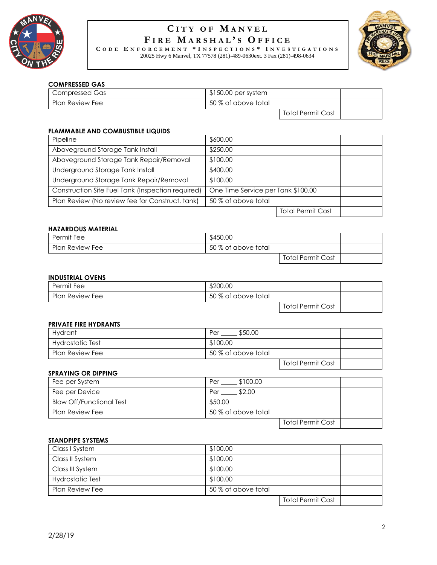

# **C I T Y O F M A N V E L F I R E M A R S H A L ' S O F F I C E**

**C O D E E N F O R C E M E N T \* I N S P E C T I O N S \* I N V E S T I G A T I O N S** 20025 Hwy 6 Manvel, TX 77578 (281)-489-0630ext. 3 Fax (281)-498-0634



# **COMPRESSED GAS**

| Compressed Gas  | $$150.00$ per system |                   |  |
|-----------------|----------------------|-------------------|--|
| Plan Review Fee | 50 % of above total  |                   |  |
|                 |                      | Total Permit Cost |  |

## **FLAMMABLE AND COMBUSTIBLE LIQUIDS**

| Pipeline                                          | \$600.00                           |  |
|---------------------------------------------------|------------------------------------|--|
| Aboveground Storage Tank Install                  | \$250.00                           |  |
| Aboveground Storage Tank Repair/Removal           | \$100.00                           |  |
| Underground Storage Tank Install                  | \$400.00                           |  |
| Underground Storage Tank Repair/Removal           | \$100.00                           |  |
| Construction Site Fuel Tank (Inspection required) | One Time Service per Tank \$100.00 |  |
| Plan Review (No review fee for Construct. tank)   | 50 % of above total                |  |
|                                                   | <b>Total Permit Cost</b>           |  |

# **HAZARDOUS MATERIAL**

| Permit Fee             | \$450.00            |                   |  |
|------------------------|---------------------|-------------------|--|
| <b>Plan Review Fee</b> | 50 % of above total |                   |  |
|                        |                     | Total Permit Cost |  |

### **INDUSTRIAL OVENS**

| Permit Fee      | \$200.00            |                   |  |
|-----------------|---------------------|-------------------|--|
| Plan Review Fee | 50 % of above total |                   |  |
|                 |                     | Total Permit Cost |  |

#### **PRIVATE FIRE HYDRANTS**

| <b>Hydrant</b>         | \$50.00<br>Per      |                          |
|------------------------|---------------------|--------------------------|
| Hydrostatic Test       | \$100.00            |                          |
| <b>Plan Review Fee</b> | 50 % of above total |                          |
|                        |                     | <b>Total Permit Cost</b> |

## **SPRAYING OR DIPPING**

| Fee per System                  | \$100.00<br>Per     |  |
|---------------------------------|---------------------|--|
| Fee per Device                  | \$2.00<br>Per       |  |
| <b>Blow Off/Functional Test</b> | \$50.00             |  |
| Plan Review Fee                 | 50 % of above total |  |
|                                 | Total Permit Cost   |  |

#### **STANDPIPE SYSTEMS**

| Class I System          | \$100.00            |                          |  |
|-------------------------|---------------------|--------------------------|--|
| Class II System         | \$100.00            |                          |  |
| Class III System        | \$100.00            |                          |  |
| <b>Hydrostatic Test</b> | \$100.00            |                          |  |
| <b>Plan Review Fee</b>  | 50 % of above total |                          |  |
|                         |                     | <b>Total Permit Cost</b> |  |